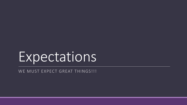# Expectations

WE MUST EXPECT GREAT THINGS!!!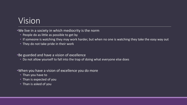# Vision

•We live in a society in which mediocrity is the norm

- People do as little as possible to get by
- If someone is watching they may work harder, but when no one is watching they take the easy way out
- They do not take pride in their work

•Be guarded and have a vision of excellence

- Do not allow yourself to fall into the trap of doing what everyone else does
- •When you have a vision of excellence you do more
	- Than you have to
	- Than is expected of you
	- Than is asked of you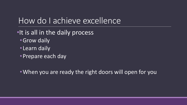# How do I achieve excellence

- •It is all in the daily process
	- •Grow daily
	- •Learn daily
	- •Prepare each day

•When you are ready the right doors will open for you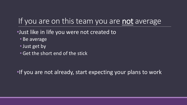### If you are on this team you are not average

- •Just like in life you were not created to
	- Be average
	- •Just get by
	- Get the short end of the stick

•If you are not already, start expecting your plans to work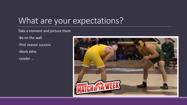# What are your expectations?

#### Take a moment and picture them

- -Be on the wall
- -Post season success
- -Work ethic
- -Leader …

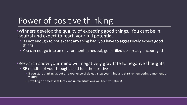# Power of positive thinking

- •Winners develop the quality of expecting good things. You cant be in neutral and expect to reach your full potential.
	- Its not enough to not expect any thing bad, you have to aggressively expect good things
	- You can not go into an environment in neutral, go in filled up already encouraged
- •Research show your mind will negatively gravitate to negative thoughts
	- BE mindful of your thoughts and fuel the positive
		- If you start thinking about an experience of defeat, stop your mind and start remembering a moment of victory
		- Dwelling on defeats/ failures and unfair situations will keep you stuck!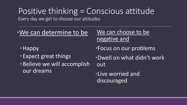# Positive thinking = Conscious attitude

Every day we get to choose our attitudes

•We can determine to be

- Happy
- •Expect great things
- •Believe we will accomplish our dreams

We can choose to be negative and

•Focus on our problems

•Dwell on what didn't work out

•Live worried and discouraged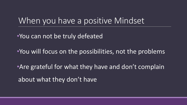### When you have a positive Mindset

•You can not be truly defeated

•You will focus on the possibilities, not the problems

•Are grateful for what they have and don't complain about what they don't have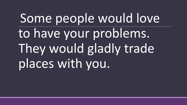Some people would love to have your problems. They would gladly trade places with you.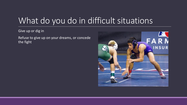# What do you do in difficult situations

#### Give up or dig in

Refuse to give up on your dreams, or concede the fight

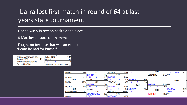#### Ibarra lost first match in round of 64 at last years state tournament

-Had to win 5 in row on back side to place

-8 Matches at state tournament

-Fought on because that was an expectation, dream he had for himself

| IBARRA, ANDREW (12) SS-5 |    | Sutter (NS)                | 34 |  |  |  |
|--------------------------|----|----------------------------|----|--|--|--|
| Righetti (SS)            | 11 | <b>MILLER</b>              | ES |  |  |  |
| MILLER, DUSTIN (12) SD-3 |    |                            | 2  |  |  |  |
| Escondido (SD)           |    | GENDREAU, JULIAN (12) SS-4 |    |  |  |  |
|                          |    |                            |    |  |  |  |

| <b>IBARRA</b>      | <b>RIG</b> | 722                |            | <b>MILLER</b> | <b>ESD</b> |                   |     | 1.0        | 997             |                            |               | 2:46 | 4.0        |
|--------------------|------------|--------------------|------------|---------------|------------|-------------------|-----|------------|-----------------|----------------------------|---------------|------|------------|
|                    |            | <b>IBARRA</b>      | <b>RIG</b> | 834           |            |                   |     |            | <b>ELIZALDE</b> | <b>BRA</b> SD <sub>1</sub> |               |      |            |
| <b>DIOKNO</b>      | <b>ELC</b> | U                  |            | 2.0 IBARRA    | <b>RIG</b> |                   |     |            |                 |                            |               |      |            |
| 611                |            | <b>ODOM</b>        | <b>SKY</b> | 2:07          |            | 3.0 <b>IBARRA</b> |     | <b>RIG</b> |                 |                            |               | 1051 |            |
| <b>PASOL</b>       | <b>LOW</b> | 723                |            | <b>NGUYEN</b> | <b>SC</b>  |                   |     | 1.0        |                 |                            |               |      |            |
|                    |            | <b>MORITA</b>      | сw         | 835           |            |                   | 942 |            | <b>IBARRA</b>   | RIG SS5                    |               |      |            |
| <b>MORITA</b>      | СW         | 11<br>o            |            | 2.0 MORITA    | СW         |                   |     |            |                 | 1.0                        |               |      |            |
| 612                |            | <b>MAHAN</b>       | <b>PV</b>  |               |            | 1.0 MORITA        |     | CW         | 998             |                            | <b>IBARRA</b> |      | <b>RIG</b> |
| <b>COVARRUBIAS</b> | КC         | 724                |            | <b>KIYONO</b> | <b>POW</b> |                   |     | 1.0        |                 |                            | <b>DEF</b>    |      | 4.0        |
|                    |            | <b>COVARRUBIAS</b> | КC         | 836           |            |                   |     |            | TURNER          | DIX SJ2                    |               |      |            |
| <b>EODEFIT</b>     |            | ol DEE             |            | 3 OIMCDANIEL  | <b>MVS</b> |                   |     |            |                 |                            |               |      |            |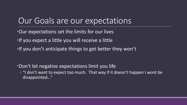### Our Goals are our expectations

- •Our expectations set the limits for our lives
- •If you expect a little you will receive a little
- •If you don't anticipate things to get better they won't

- •Don't let negative expectations limit you life
	- "I don't want to expect too much. That way if it doesn't happen I wont be disappointed…"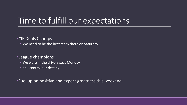# Time to fulfill our expectations

•CIF Duals Champs

• We need to be the best team there on Saturday

•League champions

- We were in the drivers seat Monday
- Still control our destiny

•Fuel up on positive and expect greatness this weekend